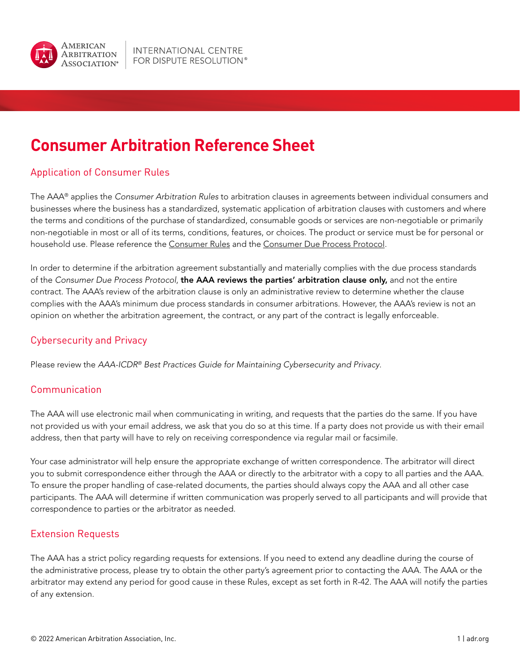

# **Consumer Arbitration Reference Sheet**

# Application of Consumer Rules

The AAA® applies the *Consumer Arbitration Rules* to arbitration clauses in agreements between individual consumers and businesses where the business has a standardized, systematic application of arbitration clauses with customers and where the terms and conditions of the purchase of standardized, consumable goods or services are non-negotiable or primarily non-negotiable in most or all of its terms, conditions, features, or choices. The product or service must be for personal or household use. Please reference the [Consumer Rules](https://www.adr.org/sites/default/files/Consumer_Rules_Web_0.pdf) and the [Consumer Due Process Protocol](https://www.adr.org/sites/default/files/document_repository/Consumer Due Process Protocol (1).pdf).

In order to determine if the arbitration agreement substantially and materially complies with the due process standards of the *Consumer Due Process Protocol*, the AAA reviews the parties' arbitration clause only, and not the entire contract. The AAA's review of the arbitration clause is only an administrative review to determine whether the clause complies with the AAA's minimum due process standards in consumer arbitrations. However, the AAA's review is not an opinion on whether the arbitration agreement, the contract, or any part of the contract is legally enforceable.

# Cybersecurity and Privacy

Please review the *AAA-ICDR® Best Practices Guide for Maintaining Cybersecurity and Privacy*.

# Communication

The AAA will use electronic mail when communicating in writing, and requests that the parties do the same. If you have not provided us with your email address, we ask that you do so at this time. If a party does not provide us with their email address, then that party will have to rely on receiving correspondence via regular mail or facsimile.

Your case administrator will help ensure the appropriate exchange of written correspondence. The arbitrator will direct you to submit correspondence either through the AAA or directly to the arbitrator with a copy to all parties and the AAA. To ensure the proper handling of case-related documents, the parties should always copy the AAA and all other case participants. The AAA will determine if written communication was properly served to all participants and will provide that correspondence to parties or the arbitrator as needed.

## Extension Requests

The AAA has a strict policy regarding requests for extensions. If you need to extend any deadline during the course of the administrative process, please try to obtain the other party's agreement prior to contacting the AAA. The AAA or the arbitrator may extend any period for good cause in these Rules, except as set forth in R-42. The AAA will notify the parties of any extension.